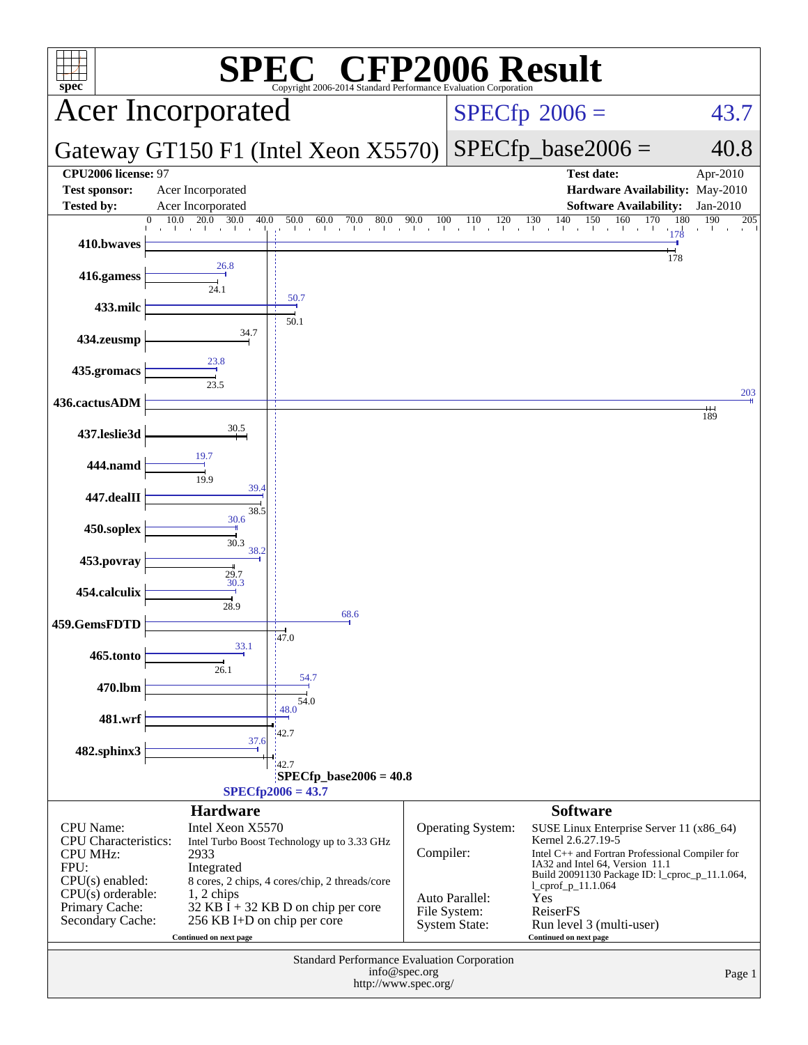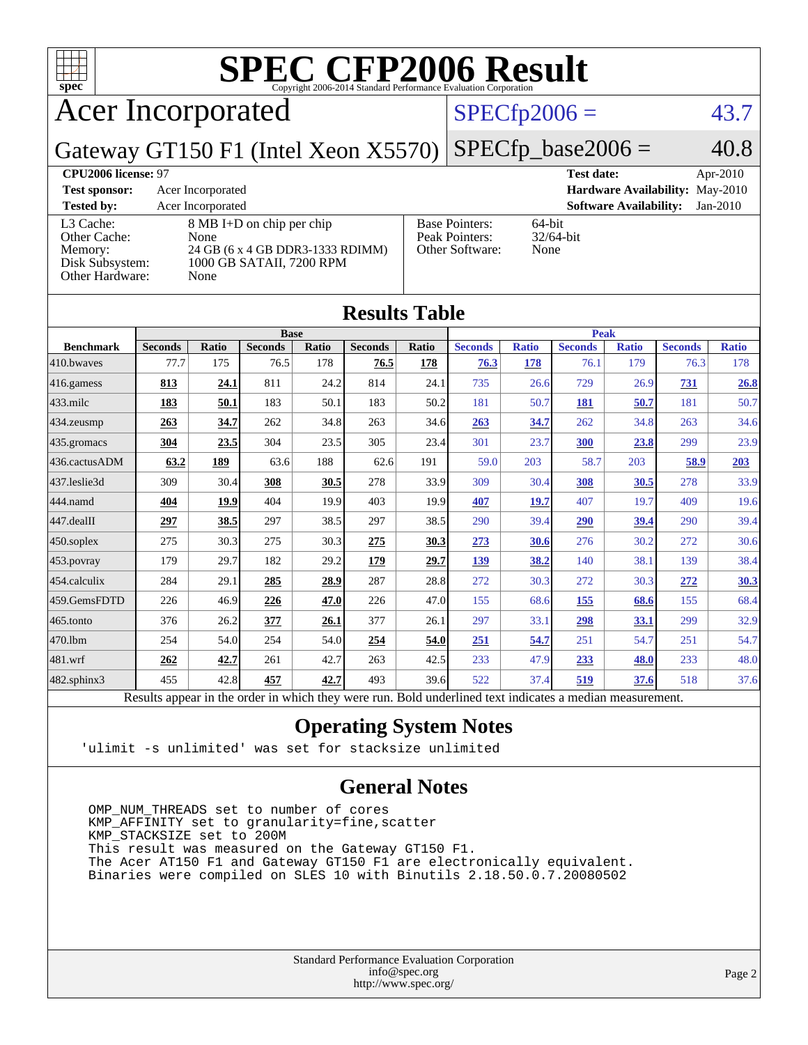

| <b>Results Table</b>                                                                                     |                |       |                |       |                |              |                |              |                |              |                |              |
|----------------------------------------------------------------------------------------------------------|----------------|-------|----------------|-------|----------------|--------------|----------------|--------------|----------------|--------------|----------------|--------------|
|                                                                                                          | <b>Base</b>    |       |                |       |                | <b>Peak</b>  |                |              |                |              |                |              |
| <b>Benchmark</b>                                                                                         | <b>Seconds</b> | Ratio | <b>Seconds</b> | Ratio | <b>Seconds</b> | <b>Ratio</b> | <b>Seconds</b> | <b>Ratio</b> | <b>Seconds</b> | <b>Ratio</b> | <b>Seconds</b> | <b>Ratio</b> |
| 410.bwayes                                                                                               | 77.7           | 175   | 76.5           | 178   | 76.5           | 178          | 76.3           | 178          | 76.1           | 179          | 76.3           | 178          |
| 416.gamess                                                                                               | 813            | 24.1  | 811            | 24.2  | 814            | 24.1         | 735            | 26.6         | 729            | 26.9         | 731            | 26.8         |
| $433$ .milc                                                                                              | 183            | 50.1  | 183            | 50.1  | 183            | 50.2         | 181            | 50.7         | 181            | 50.7         | 181            | 50.7         |
| 434.zeusmp                                                                                               | 263            | 34.7  | 262            | 34.8  | 263            | 34.6         | 263            | 34.7         | 262            | 34.8         | 263            | 34.6         |
| 435.gromacs                                                                                              | 304            | 23.5  | 304            | 23.5  | 305            | 23.4         | 301            | 23.7         | 300            | 23.8         | 299            | 23.9         |
| 436.cactusADM                                                                                            | 63.2           | 189   | 63.6           | 188   | 62.6           | 191          | 59.0           | 203          | 58.7           | 203          | 58.9           | 203          |
| 437.leslie3d                                                                                             | 309            | 30.4  | 308            | 30.5  | 278            | 33.9         | 309            | 30.4         | 308            | 30.5         | 278            | 33.9         |
| 444.namd                                                                                                 | 404            | 19.9  | 404            | 19.9  | 403            | 19.9         | 407            | 19.7         | 407            | 19.7         | 409            | 19.6         |
| 447.dealII                                                                                               | 297            | 38.5  | 297            | 38.5  | 297            | 38.5         | 290            | 39.4         | <b>290</b>     | 39.4         | 290            | 39.4         |
| 450.soplex                                                                                               | 275            | 30.3  | 275            | 30.3  | 275            | 30.3         | 273            | 30.6         | 276            | 30.2         | 272            | 30.6         |
| 453.povray                                                                                               | 179            | 29.7  | 182            | 29.2  | 179            | 29.7         | 139            | 38.2         | 140            | 38.1         | 139            | 38.4         |
| 454.calculix                                                                                             | 284            | 29.1  | 285            | 28.9  | 287            | 28.8         | 272            | 30.3         | 272            | 30.3         | 272            | 30.3         |
| 459.GemsFDTD                                                                                             | 226            | 46.9  | 226            | 47.0  | 226            | 47.0         | 155            | 68.6         | 155            | 68.6         | 155            | 68.4         |
| 465.tonto                                                                                                | 376            | 26.2  | 377            | 26.1  | 377            | 26.1         | 297            | 33.1         | 298            | 33.1         | 299            | 32.9         |
| 470.1bm                                                                                                  | 254            | 54.0  | 254            | 54.0  | 254            | 54.0         | 251            | 54.7         | 251            | 54.7         | 251            | 54.7         |
| 481.wrf                                                                                                  | 262            | 42.7  | 261            | 42.7  | 263            | 42.5         | 233            | 47.9         | 233            | 48.0         | 233            | 48.0         |
| 482.sphinx3                                                                                              | 455            | 42.8  | 457            | 42.7  | 493            | 39.6         | 522            | 37.4         | 519            | 37.6         | 518            | 37.6         |
| Results appear in the order in which they were run. Bold underlined text indicates a median measurement. |                |       |                |       |                |              |                |              |                |              |                |              |

### **[Operating System Notes](http://www.spec.org/auto/cpu2006/Docs/result-fields.html#OperatingSystemNotes)**

'ulimit -s unlimited' was set for stacksize unlimited

### **[General Notes](http://www.spec.org/auto/cpu2006/Docs/result-fields.html#GeneralNotes)**

 OMP\_NUM\_THREADS set to number of cores KMP\_AFFINITY set to granularity=fine,scatter KMP\_STACKSIZE set to 200M This result was measured on the Gateway GT150 F1. The Acer AT150 F1 and Gateway GT150 F1 are electronically equivalent. Binaries were compiled on SLES 10 with Binutils 2.18.50.0.7.20080502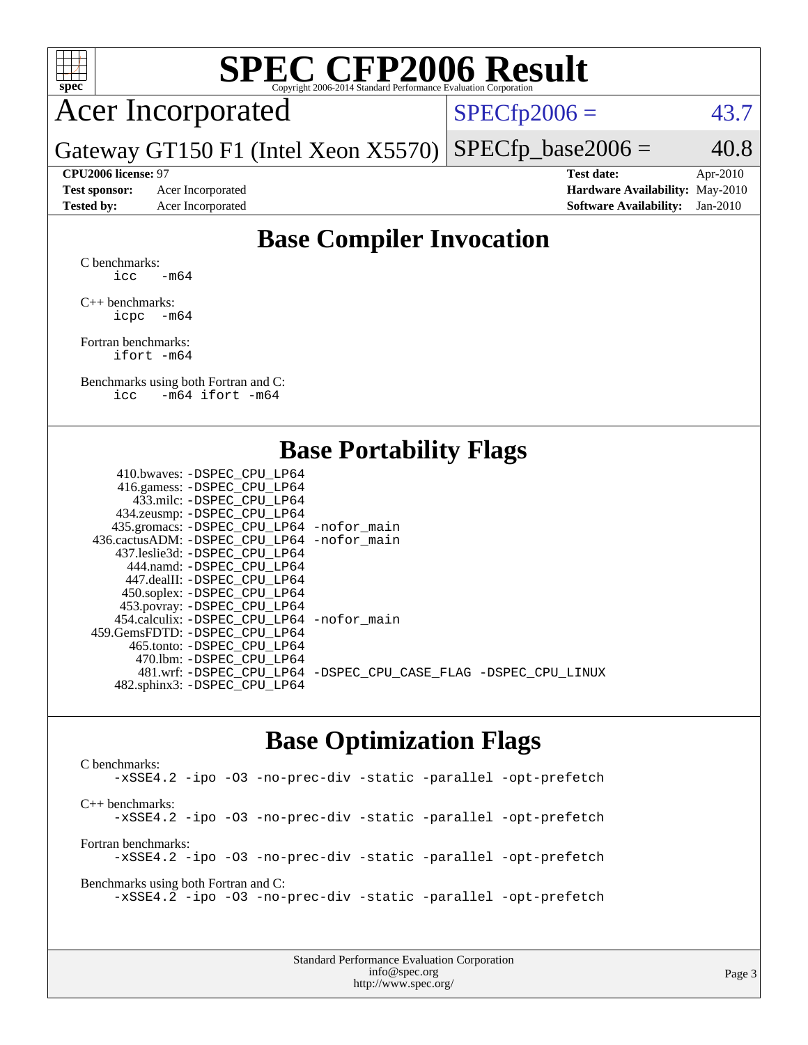

# **[SPEC CFP2006 Result](http://www.spec.org/auto/cpu2006/Docs/result-fields.html#SPECCFP2006Result)**

## Acer Incorporated

 $SPECTp2006 = 43.7$ 

Gateway GT150 F1 (Intel Xeon X5570)  $SPECTp\_base2006 = 40.8$ 

**[CPU2006 license:](http://www.spec.org/auto/cpu2006/Docs/result-fields.html#CPU2006license)** 97 **[Test date:](http://www.spec.org/auto/cpu2006/Docs/result-fields.html#Testdate)** Apr-2010 **[Test sponsor:](http://www.spec.org/auto/cpu2006/Docs/result-fields.html#Testsponsor)** Acer Incorporated **[Hardware Availability:](http://www.spec.org/auto/cpu2006/Docs/result-fields.html#HardwareAvailability)** May-2010 **[Tested by:](http://www.spec.org/auto/cpu2006/Docs/result-fields.html#Testedby)** Acer Incorporated **[Software Availability:](http://www.spec.org/auto/cpu2006/Docs/result-fields.html#SoftwareAvailability)** Jan-2010

### **[Base Compiler Invocation](http://www.spec.org/auto/cpu2006/Docs/result-fields.html#BaseCompilerInvocation)**

[C benchmarks](http://www.spec.org/auto/cpu2006/Docs/result-fields.html#Cbenchmarks): icc  $-m64$ 

[C++ benchmarks:](http://www.spec.org/auto/cpu2006/Docs/result-fields.html#CXXbenchmarks) [icpc -m64](http://www.spec.org/cpu2006/results/res2010q3/cpu2006-20100608-11685.flags.html#user_CXXbase_intel_icpc_64bit_bedb90c1146cab66620883ef4f41a67e)

[Fortran benchmarks](http://www.spec.org/auto/cpu2006/Docs/result-fields.html#Fortranbenchmarks): [ifort -m64](http://www.spec.org/cpu2006/results/res2010q3/cpu2006-20100608-11685.flags.html#user_FCbase_intel_ifort_64bit_ee9d0fb25645d0210d97eb0527dcc06e)

[Benchmarks using both Fortran and C](http://www.spec.org/auto/cpu2006/Docs/result-fields.html#BenchmarksusingbothFortranandC): [icc -m64](http://www.spec.org/cpu2006/results/res2010q3/cpu2006-20100608-11685.flags.html#user_CC_FCbase_intel_icc_64bit_0b7121f5ab7cfabee23d88897260401c) [ifort -m64](http://www.spec.org/cpu2006/results/res2010q3/cpu2006-20100608-11685.flags.html#user_CC_FCbase_intel_ifort_64bit_ee9d0fb25645d0210d97eb0527dcc06e)

### **[Base Portability Flags](http://www.spec.org/auto/cpu2006/Docs/result-fields.html#BasePortabilityFlags)**

| 410.bwaves: -DSPEC CPU LP64                |                                                                |
|--------------------------------------------|----------------------------------------------------------------|
| 416.gamess: -DSPEC_CPU_LP64                |                                                                |
| 433.milc: -DSPEC CPU LP64                  |                                                                |
| 434.zeusmp: -DSPEC_CPU_LP64                |                                                                |
| 435.gromacs: -DSPEC_CPU_LP64 -nofor_main   |                                                                |
| 436.cactusADM: -DSPEC CPU LP64 -nofor main |                                                                |
| 437.leslie3d: -DSPEC CPU LP64              |                                                                |
| 444.namd: - DSPEC CPU LP64                 |                                                                |
| 447.dealII: -DSPEC CPU LP64                |                                                                |
| 450.soplex: -DSPEC_CPU_LP64                |                                                                |
| 453.povray: -DSPEC_CPU_LP64                |                                                                |
| 454.calculix: -DSPEC CPU LP64 -nofor main  |                                                                |
| 459.GemsFDTD: -DSPEC CPU LP64              |                                                                |
| 465.tonto: - DSPEC CPU LP64                |                                                                |
| 470.1bm: - DSPEC_CPU LP64                  |                                                                |
|                                            | 481.wrf: -DSPEC_CPU_LP64 -DSPEC_CPU_CASE_FLAG -DSPEC_CPU_LINUX |
| 482.sphinx3: -DSPEC_CPU_LP64               |                                                                |
|                                            |                                                                |

### **[Base Optimization Flags](http://www.spec.org/auto/cpu2006/Docs/result-fields.html#BaseOptimizationFlags)**

[C benchmarks](http://www.spec.org/auto/cpu2006/Docs/result-fields.html#Cbenchmarks): [-xSSE4.2](http://www.spec.org/cpu2006/results/res2010q3/cpu2006-20100608-11685.flags.html#user_CCbase_f-xSSE42_f91528193cf0b216347adb8b939d4107) [-ipo](http://www.spec.org/cpu2006/results/res2010q3/cpu2006-20100608-11685.flags.html#user_CCbase_f-ipo) [-O3](http://www.spec.org/cpu2006/results/res2010q3/cpu2006-20100608-11685.flags.html#user_CCbase_f-O3) [-no-prec-div](http://www.spec.org/cpu2006/results/res2010q3/cpu2006-20100608-11685.flags.html#user_CCbase_f-no-prec-div) [-static](http://www.spec.org/cpu2006/results/res2010q3/cpu2006-20100608-11685.flags.html#user_CCbase_f-static) [-parallel](http://www.spec.org/cpu2006/results/res2010q3/cpu2006-20100608-11685.flags.html#user_CCbase_f-parallel) [-opt-prefetch](http://www.spec.org/cpu2006/results/res2010q3/cpu2006-20100608-11685.flags.html#user_CCbase_f-opt-prefetch) [C++ benchmarks:](http://www.spec.org/auto/cpu2006/Docs/result-fields.html#CXXbenchmarks) [-xSSE4.2](http://www.spec.org/cpu2006/results/res2010q3/cpu2006-20100608-11685.flags.html#user_CXXbase_f-xSSE42_f91528193cf0b216347adb8b939d4107) [-ipo](http://www.spec.org/cpu2006/results/res2010q3/cpu2006-20100608-11685.flags.html#user_CXXbase_f-ipo) [-O3](http://www.spec.org/cpu2006/results/res2010q3/cpu2006-20100608-11685.flags.html#user_CXXbase_f-O3) [-no-prec-div](http://www.spec.org/cpu2006/results/res2010q3/cpu2006-20100608-11685.flags.html#user_CXXbase_f-no-prec-div) [-static](http://www.spec.org/cpu2006/results/res2010q3/cpu2006-20100608-11685.flags.html#user_CXXbase_f-static) [-parallel](http://www.spec.org/cpu2006/results/res2010q3/cpu2006-20100608-11685.flags.html#user_CXXbase_f-parallel) [-opt-prefetch](http://www.spec.org/cpu2006/results/res2010q3/cpu2006-20100608-11685.flags.html#user_CXXbase_f-opt-prefetch) [Fortran benchmarks](http://www.spec.org/auto/cpu2006/Docs/result-fields.html#Fortranbenchmarks): [-xSSE4.2](http://www.spec.org/cpu2006/results/res2010q3/cpu2006-20100608-11685.flags.html#user_FCbase_f-xSSE42_f91528193cf0b216347adb8b939d4107) [-ipo](http://www.spec.org/cpu2006/results/res2010q3/cpu2006-20100608-11685.flags.html#user_FCbase_f-ipo) [-O3](http://www.spec.org/cpu2006/results/res2010q3/cpu2006-20100608-11685.flags.html#user_FCbase_f-O3) [-no-prec-div](http://www.spec.org/cpu2006/results/res2010q3/cpu2006-20100608-11685.flags.html#user_FCbase_f-no-prec-div) [-static](http://www.spec.org/cpu2006/results/res2010q3/cpu2006-20100608-11685.flags.html#user_FCbase_f-static) [-parallel](http://www.spec.org/cpu2006/results/res2010q3/cpu2006-20100608-11685.flags.html#user_FCbase_f-parallel) [-opt-prefetch](http://www.spec.org/cpu2006/results/res2010q3/cpu2006-20100608-11685.flags.html#user_FCbase_f-opt-prefetch) [Benchmarks using both Fortran and C](http://www.spec.org/auto/cpu2006/Docs/result-fields.html#BenchmarksusingbothFortranandC): [-xSSE4.2](http://www.spec.org/cpu2006/results/res2010q3/cpu2006-20100608-11685.flags.html#user_CC_FCbase_f-xSSE42_f91528193cf0b216347adb8b939d4107) [-ipo](http://www.spec.org/cpu2006/results/res2010q3/cpu2006-20100608-11685.flags.html#user_CC_FCbase_f-ipo) [-O3](http://www.spec.org/cpu2006/results/res2010q3/cpu2006-20100608-11685.flags.html#user_CC_FCbase_f-O3) [-no-prec-div](http://www.spec.org/cpu2006/results/res2010q3/cpu2006-20100608-11685.flags.html#user_CC_FCbase_f-no-prec-div) [-static](http://www.spec.org/cpu2006/results/res2010q3/cpu2006-20100608-11685.flags.html#user_CC_FCbase_f-static) [-parallel](http://www.spec.org/cpu2006/results/res2010q3/cpu2006-20100608-11685.flags.html#user_CC_FCbase_f-parallel) [-opt-prefetch](http://www.spec.org/cpu2006/results/res2010q3/cpu2006-20100608-11685.flags.html#user_CC_FCbase_f-opt-prefetch)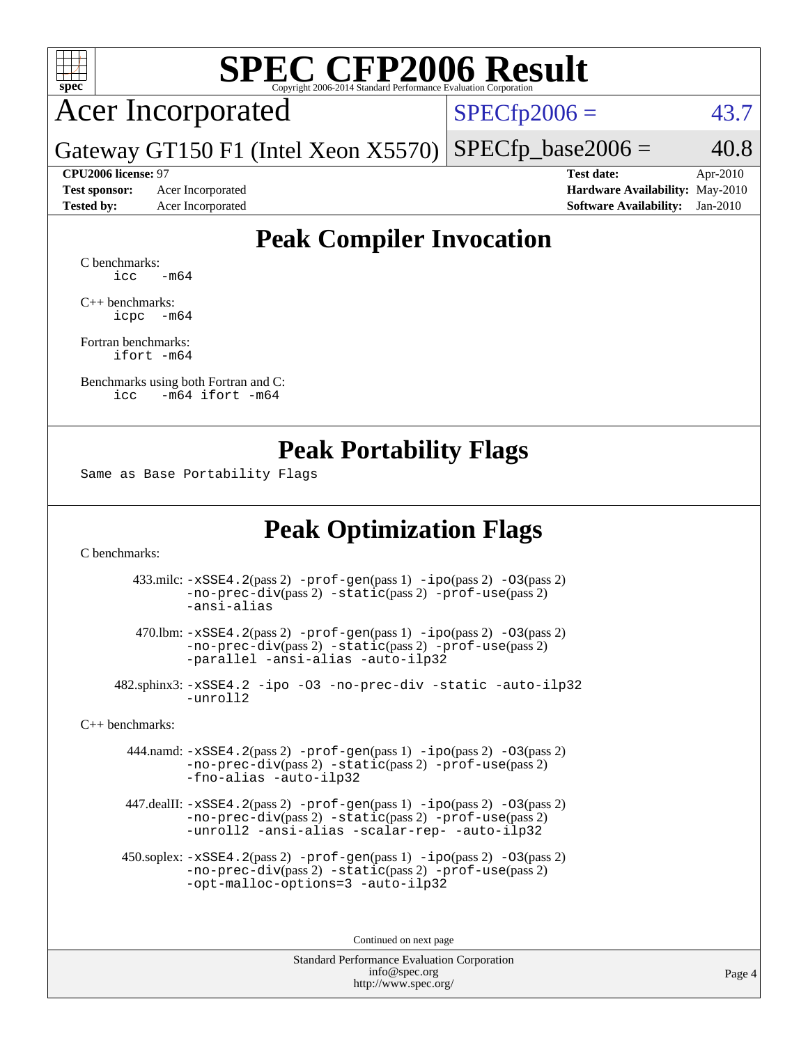

# **[SPEC CFP2006 Result](http://www.spec.org/auto/cpu2006/Docs/result-fields.html#SPECCFP2006Result)**

Acer Incorporated

 $SPECfp2006 = 43.7$  $SPECfp2006 = 43.7$ 

Gateway GT150 F1 (Intel Xeon X5570)  $SPECTp\_base2006 = 40.8$ 

**[Test sponsor:](http://www.spec.org/auto/cpu2006/Docs/result-fields.html#Testsponsor)** Acer Incorporated **[Hardware Availability:](http://www.spec.org/auto/cpu2006/Docs/result-fields.html#HardwareAvailability)** May-2010

**[CPU2006 license:](http://www.spec.org/auto/cpu2006/Docs/result-fields.html#CPU2006license)** 97 **[Test date:](http://www.spec.org/auto/cpu2006/Docs/result-fields.html#Testdate)** Apr-2010 **[Tested by:](http://www.spec.org/auto/cpu2006/Docs/result-fields.html#Testedby)** Acer Incorporated **[Software Availability:](http://www.spec.org/auto/cpu2006/Docs/result-fields.html#SoftwareAvailability)** Jan-2010

### **[Peak Compiler Invocation](http://www.spec.org/auto/cpu2006/Docs/result-fields.html#PeakCompilerInvocation)**

[C benchmarks](http://www.spec.org/auto/cpu2006/Docs/result-fields.html#Cbenchmarks):  $\text{icc}$   $-\text{m64}$ 

[C++ benchmarks:](http://www.spec.org/auto/cpu2006/Docs/result-fields.html#CXXbenchmarks) [icpc -m64](http://www.spec.org/cpu2006/results/res2010q3/cpu2006-20100608-11685.flags.html#user_CXXpeak_intel_icpc_64bit_bedb90c1146cab66620883ef4f41a67e)

[Fortran benchmarks](http://www.spec.org/auto/cpu2006/Docs/result-fields.html#Fortranbenchmarks): [ifort -m64](http://www.spec.org/cpu2006/results/res2010q3/cpu2006-20100608-11685.flags.html#user_FCpeak_intel_ifort_64bit_ee9d0fb25645d0210d97eb0527dcc06e)

[Benchmarks using both Fortran and C](http://www.spec.org/auto/cpu2006/Docs/result-fields.html#BenchmarksusingbothFortranandC): [icc -m64](http://www.spec.org/cpu2006/results/res2010q3/cpu2006-20100608-11685.flags.html#user_CC_FCpeak_intel_icc_64bit_0b7121f5ab7cfabee23d88897260401c) [ifort -m64](http://www.spec.org/cpu2006/results/res2010q3/cpu2006-20100608-11685.flags.html#user_CC_FCpeak_intel_ifort_64bit_ee9d0fb25645d0210d97eb0527dcc06e)

### **[Peak Portability Flags](http://www.spec.org/auto/cpu2006/Docs/result-fields.html#PeakPortabilityFlags)**

Same as Base Portability Flags

### **[Peak Optimization Flags](http://www.spec.org/auto/cpu2006/Docs/result-fields.html#PeakOptimizationFlags)**

[C benchmarks](http://www.spec.org/auto/cpu2006/Docs/result-fields.html#Cbenchmarks):

 433.milc: [-xSSE4.2](http://www.spec.org/cpu2006/results/res2010q3/cpu2006-20100608-11685.flags.html#user_peakPASS2_CFLAGSPASS2_LDFLAGS433_milc_f-xSSE42_f91528193cf0b216347adb8b939d4107)(pass 2) [-prof-gen](http://www.spec.org/cpu2006/results/res2010q3/cpu2006-20100608-11685.flags.html#user_peakPASS1_CFLAGSPASS1_LDFLAGS433_milc_prof_gen_e43856698f6ca7b7e442dfd80e94a8fc)(pass 1) [-ipo](http://www.spec.org/cpu2006/results/res2010q3/cpu2006-20100608-11685.flags.html#user_peakPASS2_CFLAGSPASS2_LDFLAGS433_milc_f-ipo)(pass 2) [-O3](http://www.spec.org/cpu2006/results/res2010q3/cpu2006-20100608-11685.flags.html#user_peakPASS2_CFLAGSPASS2_LDFLAGS433_milc_f-O3)(pass 2) [-no-prec-div](http://www.spec.org/cpu2006/results/res2010q3/cpu2006-20100608-11685.flags.html#user_peakPASS2_CFLAGSPASS2_LDFLAGS433_milc_f-no-prec-div)(pass 2) [-static](http://www.spec.org/cpu2006/results/res2010q3/cpu2006-20100608-11685.flags.html#user_peakPASS2_CFLAGSPASS2_LDFLAGS433_milc_f-static)(pass 2) [-prof-use](http://www.spec.org/cpu2006/results/res2010q3/cpu2006-20100608-11685.flags.html#user_peakPASS2_CFLAGSPASS2_LDFLAGS433_milc_prof_use_bccf7792157ff70d64e32fe3e1250b55)(pass 2) [-ansi-alias](http://www.spec.org/cpu2006/results/res2010q3/cpu2006-20100608-11685.flags.html#user_peakOPTIMIZE433_milc_f-ansi-alias)

 470.lbm: [-xSSE4.2](http://www.spec.org/cpu2006/results/res2010q3/cpu2006-20100608-11685.flags.html#user_peakPASS2_CFLAGSPASS2_LDFLAGS470_lbm_f-xSSE42_f91528193cf0b216347adb8b939d4107)(pass 2) [-prof-gen](http://www.spec.org/cpu2006/results/res2010q3/cpu2006-20100608-11685.flags.html#user_peakPASS1_CFLAGSPASS1_LDFLAGS470_lbm_prof_gen_e43856698f6ca7b7e442dfd80e94a8fc)(pass 1) [-ipo](http://www.spec.org/cpu2006/results/res2010q3/cpu2006-20100608-11685.flags.html#user_peakPASS2_CFLAGSPASS2_LDFLAGS470_lbm_f-ipo)(pass 2) [-O3](http://www.spec.org/cpu2006/results/res2010q3/cpu2006-20100608-11685.flags.html#user_peakPASS2_CFLAGSPASS2_LDFLAGS470_lbm_f-O3)(pass 2) [-no-prec-div](http://www.spec.org/cpu2006/results/res2010q3/cpu2006-20100608-11685.flags.html#user_peakPASS2_CFLAGSPASS2_LDFLAGS470_lbm_f-no-prec-div)(pass 2) [-static](http://www.spec.org/cpu2006/results/res2010q3/cpu2006-20100608-11685.flags.html#user_peakPASS2_CFLAGSPASS2_LDFLAGS470_lbm_f-static)(pass 2) [-prof-use](http://www.spec.org/cpu2006/results/res2010q3/cpu2006-20100608-11685.flags.html#user_peakPASS2_CFLAGSPASS2_LDFLAGS470_lbm_prof_use_bccf7792157ff70d64e32fe3e1250b55)(pass 2) [-parallel](http://www.spec.org/cpu2006/results/res2010q3/cpu2006-20100608-11685.flags.html#user_peakOPTIMIZE470_lbm_f-parallel) [-ansi-alias](http://www.spec.org/cpu2006/results/res2010q3/cpu2006-20100608-11685.flags.html#user_peakOPTIMIZE470_lbm_f-ansi-alias) [-auto-ilp32](http://www.spec.org/cpu2006/results/res2010q3/cpu2006-20100608-11685.flags.html#user_peakCOPTIMIZE470_lbm_f-auto-ilp32)

 482.sphinx3: [-xSSE4.2](http://www.spec.org/cpu2006/results/res2010q3/cpu2006-20100608-11685.flags.html#user_peakOPTIMIZE482_sphinx3_f-xSSE42_f91528193cf0b216347adb8b939d4107) [-ipo](http://www.spec.org/cpu2006/results/res2010q3/cpu2006-20100608-11685.flags.html#user_peakOPTIMIZE482_sphinx3_f-ipo) [-O3](http://www.spec.org/cpu2006/results/res2010q3/cpu2006-20100608-11685.flags.html#user_peakOPTIMIZE482_sphinx3_f-O3) [-no-prec-div](http://www.spec.org/cpu2006/results/res2010q3/cpu2006-20100608-11685.flags.html#user_peakOPTIMIZE482_sphinx3_f-no-prec-div) [-static](http://www.spec.org/cpu2006/results/res2010q3/cpu2006-20100608-11685.flags.html#user_peakOPTIMIZE482_sphinx3_f-static) [-auto-ilp32](http://www.spec.org/cpu2006/results/res2010q3/cpu2006-20100608-11685.flags.html#user_peakCOPTIMIZE482_sphinx3_f-auto-ilp32) [-unroll2](http://www.spec.org/cpu2006/results/res2010q3/cpu2006-20100608-11685.flags.html#user_peakCOPTIMIZE482_sphinx3_f-unroll_784dae83bebfb236979b41d2422d7ec2)

[C++ benchmarks:](http://www.spec.org/auto/cpu2006/Docs/result-fields.html#CXXbenchmarks)

 444.namd: [-xSSE4.2](http://www.spec.org/cpu2006/results/res2010q3/cpu2006-20100608-11685.flags.html#user_peakPASS2_CXXFLAGSPASS2_LDFLAGS444_namd_f-xSSE42_f91528193cf0b216347adb8b939d4107)(pass 2) [-prof-gen](http://www.spec.org/cpu2006/results/res2010q3/cpu2006-20100608-11685.flags.html#user_peakPASS1_CXXFLAGSPASS1_LDFLAGS444_namd_prof_gen_e43856698f6ca7b7e442dfd80e94a8fc)(pass 1) [-ipo](http://www.spec.org/cpu2006/results/res2010q3/cpu2006-20100608-11685.flags.html#user_peakPASS2_CXXFLAGSPASS2_LDFLAGS444_namd_f-ipo)(pass 2) [-O3](http://www.spec.org/cpu2006/results/res2010q3/cpu2006-20100608-11685.flags.html#user_peakPASS2_CXXFLAGSPASS2_LDFLAGS444_namd_f-O3)(pass 2) [-no-prec-div](http://www.spec.org/cpu2006/results/res2010q3/cpu2006-20100608-11685.flags.html#user_peakPASS2_CXXFLAGSPASS2_LDFLAGS444_namd_f-no-prec-div)(pass 2) [-static](http://www.spec.org/cpu2006/results/res2010q3/cpu2006-20100608-11685.flags.html#user_peakPASS2_CXXFLAGSPASS2_LDFLAGS444_namd_f-static)(pass 2) [-prof-use](http://www.spec.org/cpu2006/results/res2010q3/cpu2006-20100608-11685.flags.html#user_peakPASS2_CXXFLAGSPASS2_LDFLAGS444_namd_prof_use_bccf7792157ff70d64e32fe3e1250b55)(pass 2) [-fno-alias](http://www.spec.org/cpu2006/results/res2010q3/cpu2006-20100608-11685.flags.html#user_peakOPTIMIZE444_namd_f-no-alias_694e77f6c5a51e658e82ccff53a9e63a) [-auto-ilp32](http://www.spec.org/cpu2006/results/res2010q3/cpu2006-20100608-11685.flags.html#user_peakCXXOPTIMIZE444_namd_f-auto-ilp32)

 447.dealII: [-xSSE4.2](http://www.spec.org/cpu2006/results/res2010q3/cpu2006-20100608-11685.flags.html#user_peakPASS2_CXXFLAGSPASS2_LDFLAGS447_dealII_f-xSSE42_f91528193cf0b216347adb8b939d4107)(pass 2) [-prof-gen](http://www.spec.org/cpu2006/results/res2010q3/cpu2006-20100608-11685.flags.html#user_peakPASS1_CXXFLAGSPASS1_LDFLAGS447_dealII_prof_gen_e43856698f6ca7b7e442dfd80e94a8fc)(pass 1) [-ipo](http://www.spec.org/cpu2006/results/res2010q3/cpu2006-20100608-11685.flags.html#user_peakPASS2_CXXFLAGSPASS2_LDFLAGS447_dealII_f-ipo)(pass 2) [-O3](http://www.spec.org/cpu2006/results/res2010q3/cpu2006-20100608-11685.flags.html#user_peakPASS2_CXXFLAGSPASS2_LDFLAGS447_dealII_f-O3)(pass 2) [-no-prec-div](http://www.spec.org/cpu2006/results/res2010q3/cpu2006-20100608-11685.flags.html#user_peakPASS2_CXXFLAGSPASS2_LDFLAGS447_dealII_f-no-prec-div)(pass 2) [-static](http://www.spec.org/cpu2006/results/res2010q3/cpu2006-20100608-11685.flags.html#user_peakPASS2_CXXFLAGSPASS2_LDFLAGS447_dealII_f-static)(pass 2) [-prof-use](http://www.spec.org/cpu2006/results/res2010q3/cpu2006-20100608-11685.flags.html#user_peakPASS2_CXXFLAGSPASS2_LDFLAGS447_dealII_prof_use_bccf7792157ff70d64e32fe3e1250b55)(pass 2) [-unroll2](http://www.spec.org/cpu2006/results/res2010q3/cpu2006-20100608-11685.flags.html#user_peakOPTIMIZE447_dealII_f-unroll_784dae83bebfb236979b41d2422d7ec2) [-ansi-alias](http://www.spec.org/cpu2006/results/res2010q3/cpu2006-20100608-11685.flags.html#user_peakOPTIMIZE447_dealII_f-ansi-alias) [-scalar-rep-](http://www.spec.org/cpu2006/results/res2010q3/cpu2006-20100608-11685.flags.html#user_peakOPTIMIZE447_dealII_f-disablescalarrep_abbcad04450fb118e4809c81d83c8a1d) [-auto-ilp32](http://www.spec.org/cpu2006/results/res2010q3/cpu2006-20100608-11685.flags.html#user_peakCXXOPTIMIZE447_dealII_f-auto-ilp32)

 450.soplex: [-xSSE4.2](http://www.spec.org/cpu2006/results/res2010q3/cpu2006-20100608-11685.flags.html#user_peakPASS2_CXXFLAGSPASS2_LDFLAGS450_soplex_f-xSSE42_f91528193cf0b216347adb8b939d4107)(pass 2) [-prof-gen](http://www.spec.org/cpu2006/results/res2010q3/cpu2006-20100608-11685.flags.html#user_peakPASS1_CXXFLAGSPASS1_LDFLAGS450_soplex_prof_gen_e43856698f6ca7b7e442dfd80e94a8fc)(pass 1) [-ipo](http://www.spec.org/cpu2006/results/res2010q3/cpu2006-20100608-11685.flags.html#user_peakPASS2_CXXFLAGSPASS2_LDFLAGS450_soplex_f-ipo)(pass 2) [-O3](http://www.spec.org/cpu2006/results/res2010q3/cpu2006-20100608-11685.flags.html#user_peakPASS2_CXXFLAGSPASS2_LDFLAGS450_soplex_f-O3)(pass 2) [-no-prec-div](http://www.spec.org/cpu2006/results/res2010q3/cpu2006-20100608-11685.flags.html#user_peakPASS2_CXXFLAGSPASS2_LDFLAGS450_soplex_f-no-prec-div)(pass 2) [-static](http://www.spec.org/cpu2006/results/res2010q3/cpu2006-20100608-11685.flags.html#user_peakPASS2_CXXFLAGSPASS2_LDFLAGS450_soplex_f-static)(pass 2) [-prof-use](http://www.spec.org/cpu2006/results/res2010q3/cpu2006-20100608-11685.flags.html#user_peakPASS2_CXXFLAGSPASS2_LDFLAGS450_soplex_prof_use_bccf7792157ff70d64e32fe3e1250b55)(pass 2) [-opt-malloc-options=3](http://www.spec.org/cpu2006/results/res2010q3/cpu2006-20100608-11685.flags.html#user_peakOPTIMIZE450_soplex_f-opt-malloc-options_13ab9b803cf986b4ee62f0a5998c2238) [-auto-ilp32](http://www.spec.org/cpu2006/results/res2010q3/cpu2006-20100608-11685.flags.html#user_peakCXXOPTIMIZE450_soplex_f-auto-ilp32)

Continued on next page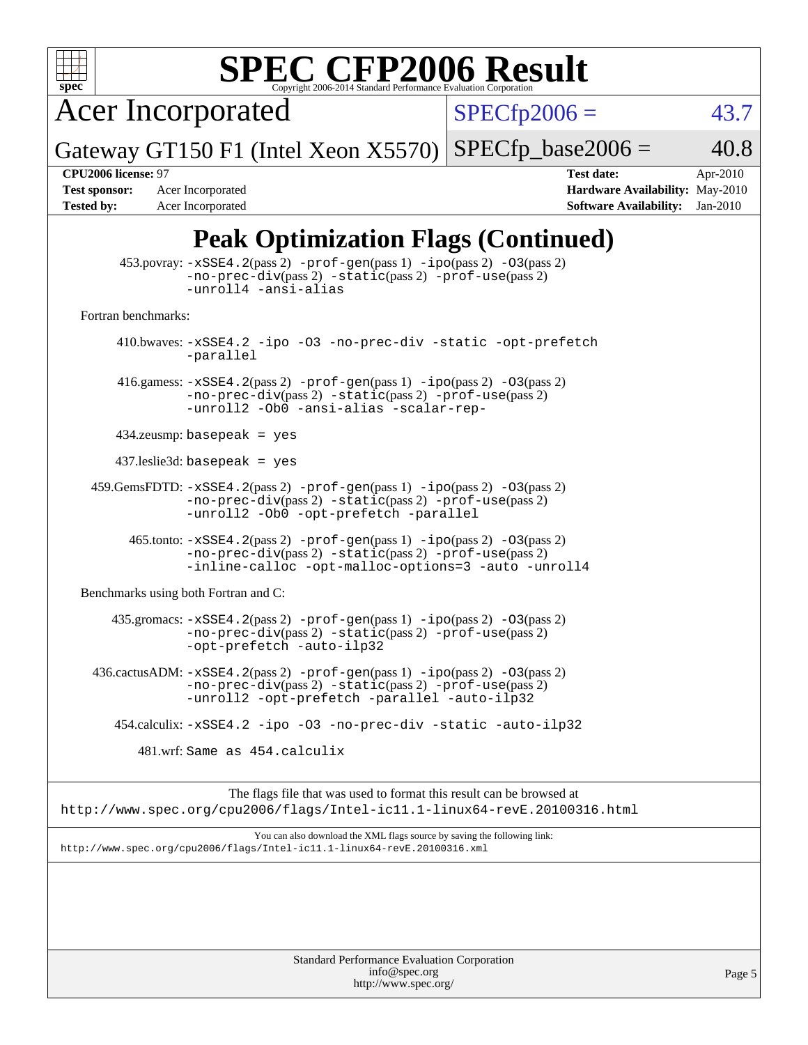

# **[SPEC CFP2006 Result](http://www.spec.org/auto/cpu2006/Docs/result-fields.html#SPECCFP2006Result)**

Acer Incorporated

 $SPECfp2006 = 43.7$  $SPECfp2006 = 43.7$ 

Page 5

Gateway GT150 F1 (Intel Xeon X5570)  $SPECTp\_base2006 = 40.8$ 

**[Tested by:](http://www.spec.org/auto/cpu2006/Docs/result-fields.html#Testedby)** Acer Incorporated **[Software Availability:](http://www.spec.org/auto/cpu2006/Docs/result-fields.html#SoftwareAvailability)** Jan-2010

**[CPU2006 license:](http://www.spec.org/auto/cpu2006/Docs/result-fields.html#CPU2006license)** 97 **[Test date:](http://www.spec.org/auto/cpu2006/Docs/result-fields.html#Testdate)** Apr-2010 **[Test sponsor:](http://www.spec.org/auto/cpu2006/Docs/result-fields.html#Testsponsor)** Acer Incorporated **[Hardware Availability:](http://www.spec.org/auto/cpu2006/Docs/result-fields.html#HardwareAvailability)** May-2010

## **[Peak Optimization Flags \(Continued\)](http://www.spec.org/auto/cpu2006/Docs/result-fields.html#PeakOptimizationFlags)**

|                                             | $\frac{1}{2}$                                                                                                                                                                             |  |  |  |  |
|---------------------------------------------|-------------------------------------------------------------------------------------------------------------------------------------------------------------------------------------------|--|--|--|--|
|                                             | 453.povray: -xSSE4.2(pass 2) -prof-gen(pass 1) -ipo(pass 2) -03(pass 2)<br>-no-prec-div(pass 2) -static(pass 2) -prof-use(pass 2)<br>-unroll4 -ansi-alias                                 |  |  |  |  |
| Fortran benchmarks:                         |                                                                                                                                                                                           |  |  |  |  |
|                                             | 410.bwaves: -xSSE4.2 -ipo -03 -no-prec-div -static -opt-prefetch<br>-parallel                                                                                                             |  |  |  |  |
|                                             | 416.gamess: $-xSSE4$ . 2(pass 2) $-prof-gen(pass 1) -ipo(pass 2) -O3(pass 2)$<br>-no-prec-div(pass 2) -static(pass 2) -prof-use(pass 2)<br>-unroll2 -Ob0 -ansi-alias -scalar-rep-         |  |  |  |  |
|                                             | $434$ .zeusmp: basepeak = yes                                                                                                                                                             |  |  |  |  |
|                                             | $437$ .leslie3d: basepeak = yes                                                                                                                                                           |  |  |  |  |
|                                             | $459.GemsFDTD: -xSSE4.2(pass 2) -prof-gen(pass 1) -ipo(pass 2) -03(pass 2)$<br>$-no-prec-div(pass 2) -static(pass 2) -prof-use(pass 2)$<br>-unroll2 -Ob0 -opt-prefetch -parallel          |  |  |  |  |
|                                             | 465.tonto: -xSSE4.2(pass 2) -prof-gen(pass 1) -ipo(pass 2) -03(pass 2)<br>$-no-prec-div(pass 2) -static(pass 2) -prof-use(pass 2)$<br>-inline-calloc -opt-malloc-options=3 -auto -unroll4 |  |  |  |  |
| Benchmarks using both Fortran and C:        |                                                                                                                                                                                           |  |  |  |  |
|                                             | 435.gromacs: -xSSE4.2(pass 2) -prof-gen(pass 1) -ipo(pass 2) -03(pass 2)<br>$-no\text{-prec-div}(pass 2)$ $-static(pass 2)$ $-prot\text{-use}(pass 2)$<br>-opt-prefetch -auto-ilp32       |  |  |  |  |
|                                             | 436.cactusADM: -xSSE4.2(pass 2) -prof-gen(pass 1) -ipo(pass 2) -03(pass 2)<br>$-no-prec-div(pass 2) -static(pass 2) -prof-use(pass 2)$<br>-unroll2 -opt-prefetch -parallel -auto-ilp32    |  |  |  |  |
|                                             | 454.calculix: -xSSE4.2 -ipo -03 -no-prec-div -static -auto-ilp32                                                                                                                          |  |  |  |  |
|                                             | 481.wrf: Same as 454.calculix                                                                                                                                                             |  |  |  |  |
|                                             | The flags file that was used to format this result can be browsed at<br>http://www.spec.org/cpu2006/flags/Intel-ic11.1-linux64-revE.20100316.html                                         |  |  |  |  |
|                                             | You can also download the XML flags source by saving the following link:<br>http://www.spec.org/cpu2006/flags/Intel-icll.1-linux64-revE.20100316.xml                                      |  |  |  |  |
|                                             |                                                                                                                                                                                           |  |  |  |  |
| Standard Performance Evaluation Corporation |                                                                                                                                                                                           |  |  |  |  |

[info@spec.org](mailto:info@spec.org) <http://www.spec.org/>